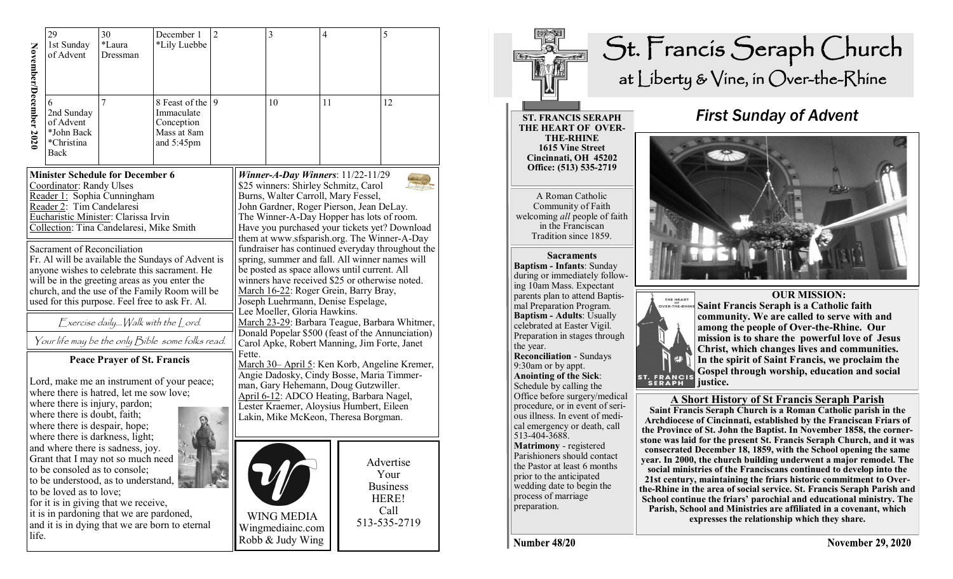|                                                                                                                                                                                                                                              | 29                          | 30                                      | December 1                                                                                      | $\overline{2}$ |                                                                                                                                                                                           | 3                                   | 4  |              | 5         |
|----------------------------------------------------------------------------------------------------------------------------------------------------------------------------------------------------------------------------------------------|-----------------------------|-----------------------------------------|-------------------------------------------------------------------------------------------------|----------------|-------------------------------------------------------------------------------------------------------------------------------------------------------------------------------------------|-------------------------------------|----|--------------|-----------|
|                                                                                                                                                                                                                                              | 1st Sunday                  | *Laura                                  | *Lily Luebbe                                                                                    |                |                                                                                                                                                                                           |                                     |    |              |           |
|                                                                                                                                                                                                                                              | of Advent                   | Dressman                                |                                                                                                 |                |                                                                                                                                                                                           |                                     |    |              |           |
|                                                                                                                                                                                                                                              |                             |                                         |                                                                                                 |                |                                                                                                                                                                                           |                                     |    |              |           |
|                                                                                                                                                                                                                                              |                             |                                         |                                                                                                 |                |                                                                                                                                                                                           |                                     |    |              |           |
| November/December 2020                                                                                                                                                                                                                       | 6                           | 7                                       | 8 Feast of the                                                                                  | 9              |                                                                                                                                                                                           | 10                                  | 11 |              | 12        |
|                                                                                                                                                                                                                                              | 2nd Sunday                  |                                         | Immaculate                                                                                      |                |                                                                                                                                                                                           |                                     |    |              |           |
|                                                                                                                                                                                                                                              | of Advent                   |                                         | Conception                                                                                      |                |                                                                                                                                                                                           |                                     |    |              |           |
|                                                                                                                                                                                                                                              | *John Back                  |                                         | Mass at 8am                                                                                     |                |                                                                                                                                                                                           |                                     |    |              |           |
|                                                                                                                                                                                                                                              | *Christina<br>Back          |                                         | and 5:45pm                                                                                      |                |                                                                                                                                                                                           |                                     |    |              |           |
|                                                                                                                                                                                                                                              |                             |                                         |                                                                                                 |                |                                                                                                                                                                                           |                                     |    |              |           |
| <b>Minister Schedule for December 6</b>                                                                                                                                                                                                      |                             |                                         |                                                                                                 |                |                                                                                                                                                                                           | Winner-A-Day Winners: $11/22-11/29$ |    |              |           |
|                                                                                                                                                                                                                                              | Coordinator: Randy Ulses    |                                         |                                                                                                 |                | \$25 winners: Shirley Schmitz, Carol                                                                                                                                                      |                                     |    |              |           |
|                                                                                                                                                                                                                                              | Reader 2: Tim Candelaresi   | Reader 1: Sophia Cunningham             |                                                                                                 |                | Burns, Walter Carroll, Mary Fessel,<br>John Gardner, Roger Pierson, Jean DeLay.<br>The Winner-A-Day Hopper has lots of room.                                                              |                                     |    |              |           |
|                                                                                                                                                                                                                                              |                             |                                         |                                                                                                 |                |                                                                                                                                                                                           |                                     |    |              |           |
| Eucharistic Minister: Clarissa Irvin<br>Collection: Tina Candelaresi, Mike Smith                                                                                                                                                             |                             |                                         |                                                                                                 |                | Have you purchased your tickets yet? Download                                                                                                                                             |                                     |    |              |           |
|                                                                                                                                                                                                                                              |                             |                                         |                                                                                                 |                | them at www.sfsparish.org. The Winner-A-Day                                                                                                                                               |                                     |    |              |           |
|                                                                                                                                                                                                                                              | Sacrament of Reconciliation |                                         |                                                                                                 |                | fundraiser has continued everyday throughout the                                                                                                                                          |                                     |    |              |           |
|                                                                                                                                                                                                                                              |                             |                                         | Fr. Al will be available the Sundays of Advent is                                               |                | spring, summer and fall. All winner names will<br>be posted as space allows until current. All<br>winners have received \$25 or otherwise noted.<br>March 16-22: Roger Grein, Barry Bray, |                                     |    |              |           |
|                                                                                                                                                                                                                                              |                             |                                         | anyone wishes to celebrate this sacrament. He<br>will be in the greeting areas as you enter the |                |                                                                                                                                                                                           |                                     |    |              |           |
|                                                                                                                                                                                                                                              |                             |                                         |                                                                                                 |                |                                                                                                                                                                                           |                                     |    |              |           |
| church, and the use of the Family Room will be<br>used for this purpose. Feel free to ask Fr. Al.                                                                                                                                            |                             |                                         |                                                                                                 |                | Joseph Luehrmann, Denise Espelage,                                                                                                                                                        |                                     |    |              |           |
|                                                                                                                                                                                                                                              |                             |                                         |                                                                                                 |                | Lee Moeller, Gloria Hawkins.                                                                                                                                                              |                                     |    |              |           |
|                                                                                                                                                                                                                                              |                             | Exercise daily Walk with the Lord.      |                                                                                                 |                | March 23-29: Barbara Teague, Barbara Whitmer,<br>Donald Popelar \$500 (feast of the Annunciation)                                                                                         |                                     |    |              |           |
| Your life may be the only Bible some folks read.                                                                                                                                                                                             |                             |                                         |                                                                                                 |                | Carol Apke, Robert Manning, Jim Forte, Janet                                                                                                                                              |                                     |    |              |           |
| <b>Peace Prayer of St. Francis</b>                                                                                                                                                                                                           |                             |                                         |                                                                                                 |                | Fette.                                                                                                                                                                                    |                                     |    |              |           |
|                                                                                                                                                                                                                                              |                             |                                         |                                                                                                 |                | March 30- April 5: Ken Korb, Angeline Kremer,<br>Angie Dadosky, Cindy Bosse, Maria Timmer-<br>man, Gary Hehemann, Doug Gutzwiller.<br>April 6-12: ADCO Heating, Barbara Nagel,            |                                     |    |              |           |
|                                                                                                                                                                                                                                              |                             |                                         | Lord, make me an instrument of your peace;                                                      |                |                                                                                                                                                                                           |                                     |    |              |           |
|                                                                                                                                                                                                                                              |                             | where there is hatred, let me sow love; |                                                                                                 |                |                                                                                                                                                                                           |                                     |    |              |           |
| where there is injury, pardon;<br>where there is doubt, faith;                                                                                                                                                                               |                             |                                         |                                                                                                 |                | Lester Kraemer, Aloysius Humbert, Eileen                                                                                                                                                  |                                     |    |              |           |
|                                                                                                                                                                                                                                              |                             |                                         |                                                                                                 |                | Lakin, Mike McKeon, Theresa Borgman.                                                                                                                                                      |                                     |    |              |           |
| where there is despair, hope;<br>where there is darkness, light;<br>and where there is sadness, joy.<br>Grant that I may not so much need<br>to be consoled as to console;<br>to be understood, as to understand,<br>to be loved as to love; |                             |                                         |                                                                                                 |                |                                                                                                                                                                                           |                                     |    |              |           |
|                                                                                                                                                                                                                                              |                             |                                         |                                                                                                 |                |                                                                                                                                                                                           |                                     |    |              |           |
|                                                                                                                                                                                                                                              |                             |                                         |                                                                                                 |                |                                                                                                                                                                                           |                                     |    |              | Advertise |
|                                                                                                                                                                                                                                              |                             |                                         |                                                                                                 |                |                                                                                                                                                                                           |                                     |    |              | Your      |
|                                                                                                                                                                                                                                              |                             |                                         |                                                                                                 |                | <b>Business</b>                                                                                                                                                                           |                                     |    |              |           |
|                                                                                                                                                                                                                                              |                             |                                         |                                                                                                 |                |                                                                                                                                                                                           |                                     |    |              | HERE!     |
| for it is in giving that we receive,                                                                                                                                                                                                         |                             |                                         |                                                                                                 |                |                                                                                                                                                                                           |                                     |    |              | Call      |
| it is in pardoning that we are pardoned,<br>and it is in dying that we are born to eternal                                                                                                                                                   |                             |                                         |                                                                                                 |                | <b>WING MEDIA</b>                                                                                                                                                                         |                                     |    | 513-535-2719 |           |
| life.                                                                                                                                                                                                                                        |                             |                                         |                                                                                                 |                |                                                                                                                                                                                           | Wingmediainc.com                    |    |              |           |
|                                                                                                                                                                                                                                              |                             |                                         |                                                                                                 |                |                                                                                                                                                                                           | Robb & Judy Wing                    |    |              |           |



**ST. FRANCIS SERAPH THE HEART OF OVER-THE-RHINE 1615 Vine Street Cincinnati, OH 45202 Office: (513) 535-2719** 

A Roman Catholic Community of Faith welcoming *all* people of faith in the Franciscan Tradition since 1859.

**Sacraments Baptism - Infants**: Sunday during or immediately following 10am Mass. Expectant parents plan to attend Baptismal Preparation Program. **Baptism - Adults**: Usually celebrated at Easter Vigil. Preparation in stages through the year. **Reconciliation** - Sundays 9:30am or by appt. **Anointing of the Sick**: Schedule by calling the Office before surgery/medical procedure, or in event of serious illness. In event of medical emergency or death, call 513-404-3688. **Matrimony** - registered Parishioners should contact the Pastor at least 6 months prior to the anticipated wedding date to begin the process of marriage preparation.

### *First Sunday of Advent*





 **OUR MISSION: Saint Francis Seraph is a Catholic faith community. We are called to serve with and among the people of Over-the-Rhine. Our mission is to share the powerful love of Jesus Christ, which changes lives and communities. In the spirit of Saint Francis, we proclaim the Gospel through worship, education and social** 

#### **A Short History of St Francis Seraph Parish**

**Saint Francis Seraph Church is a Roman Catholic parish in the Archdiocese of Cincinnati, established by the Franciscan Friars of the Province of St. John the Baptist. In November 1858, the cornerstone was laid for the present St. Francis Seraph Church, and it was consecrated December 18, 1859, with the School opening the same year. In 2000, the church building underwent a major remodel. The social ministries of the Franciscans continued to develop into the 21st century, maintaining the friars historic commitment to Overthe-Rhine in the area of social service. St. Francis Seraph Parish and School continue the friars' parochial and educational ministry. The Parish, School and Ministries are affiliated in a covenant, which expresses the relationship which they share.** 

Number 48/20